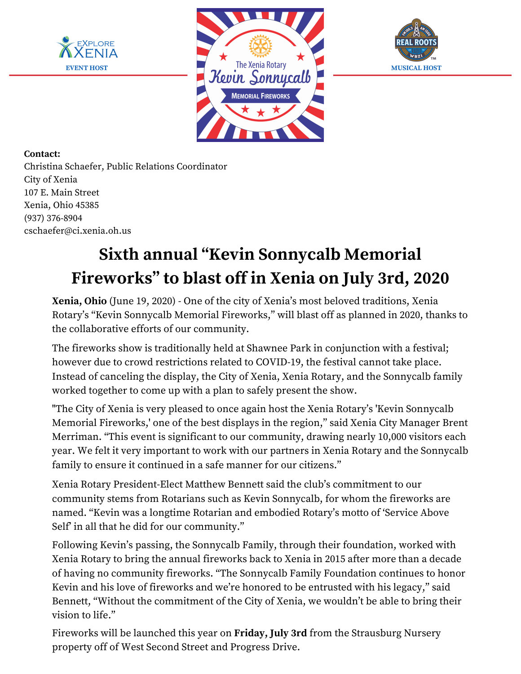





## **Contact:**

Christina Schaefer, Public Relations Coordinator City of Xenia 107 E. Main Street Xenia, Ohio 45385 (937) 376-8904 cschaefer@ci.xenia.oh.us

## **Sixth annual "Kevin Sonnycalb Memorial Fireworks" to blast off in Xenia on July 3rd, 2020**

**Xenia, Ohio** (June 19, 2020) - One of the city of Xenia's most beloved traditions, Xenia Rotary's "Kevin Sonnycalb Memorial Fireworks," will blast off as planned in 2020, thanks to the collaborative efforts of our community.

The fireworks show is traditionally held at Shawnee Park in conjunction with a festival; however due to crowd restrictions related to COVID-19, the festival cannot take place. Instead of canceling the display, the City of Xenia, Xenia Rotary, and the Sonnycalb family worked together to come up with a plan to safely present the show.

"The City of Xenia is very pleased to once again host the Xenia Rotary's 'Kevin Sonnycalb Memorial Fireworks,' one of the best displays in the region," said Xenia City Manager Brent Merriman. "This event is significant to our community, drawing nearly 10,000 visitors each year. We felt it very important to work with our partners in Xenia Rotary and the Sonnycalb family to ensure it continued in a safe manner for our citizens."

Xenia Rotary President-Elect Matthew Bennett said the club's commitment to our community stems from Rotarians such as Kevin Sonnycalb, for whom the fireworks are named. "Kevin was a longtime Rotarian and embodied Rotary's motto of 'Service Above Self' in all that he did for our community."

Following Kevin's passing, the Sonnycalb Family, through their foundation, worked with Xenia Rotary to bring the annual fireworks back to Xenia in 2015 after more than a decade of having no community fireworks. "The Sonnycalb Family Foundation continues to honor Kevin and his love of fireworks and we're honored to be entrusted with his legacy," said Bennett, "Without the commitment of the City of Xenia, we wouldn't be able to bring their vision to life."

Fireworks will be launched this year on **Friday, July 3rd** from the Strausburg Nursery property off of West Second Street and Progress Drive.